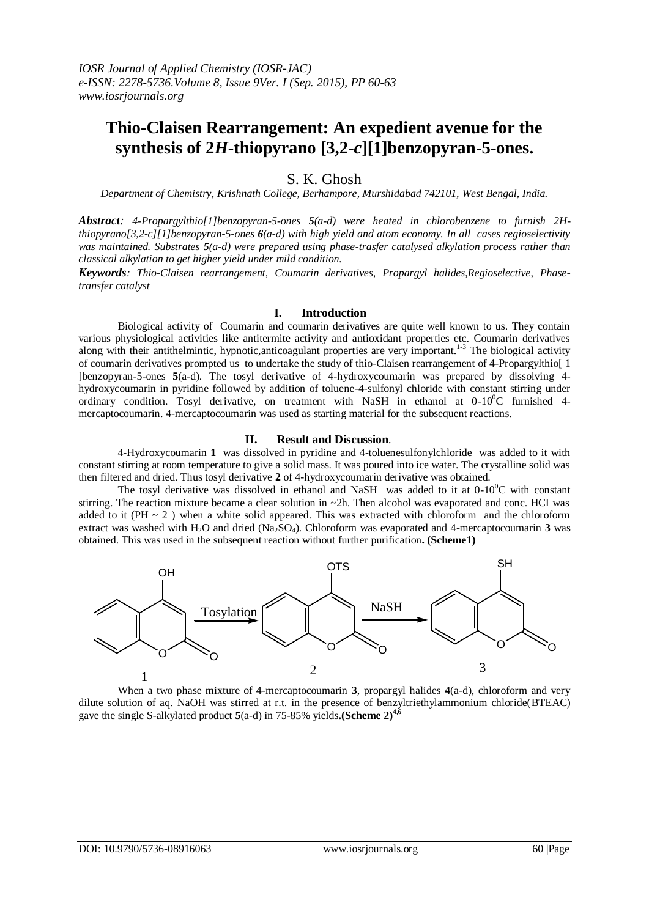# **Thio-Claisen Rearrangement: An expedient avenue for the synthesis of 2***H***-thiopyrano [3,2-***c***][1]benzopyran-5-ones.**

## S. K. Ghosh

*Department of Chemistry, Krishnath College, Berhampore, Murshidabad 742101, West Bengal, India.*

*Abstract: 4-Propargylthio[1]benzopyran-5-ones 5(a-d) were heated in chlorobenzene to furnish 2Hthiopyrano[3,2-c][1]benzopyran-5-ones 6(a-d) with high yield and atom economy. In all cases regioselectivity was maintained. Substrates 5(a-d) were prepared using phase-trasfer catalysed alkylation process rather than classical alkylation to get higher yield under mild condition.*

*Keywords: Thio-Claisen rearrangement, Coumarin derivatives, Propargyl halides,Regioselective, Phasetransfer catalyst*

#### **I. Introduction**

Biological activity of Coumarin and coumarin derivatives are quite well known to us. They contain various physiological activities like antitermite activity and antioxidant properties etc. Coumarin derivatives along with their antithelmintic, hypnotic,anticoagulant properties are very important.<sup>1-3</sup> The biological activity of coumarin derivatives prompted us to undertake the study of thio-Claisen rearrangement of 4-Propargylthio[ 1 ]benzopyran-5-ones **5**(a-d). The tosyl derivative of 4-hydroxycoumarin was prepared by dissolving 4 hydroxycoumarin in pyridine followed by addition of toluene-4-sulfonyl chloride with constant stirring under ordinary condition. Tosyl derivative, on treatment with NaSH in ethanol at  $0-10^{0}C$  furnished 4mercaptocoumarin. 4-mercaptocoumarin was used as starting material for the subsequent reactions.

#### **II. Result and Discussion**.

4-Hydroxycoumarin **1** was dissolved in pyridine and 4-toluenesulfonylchloride was added to it with constant stirring at room temperature to give a solid mass. It was poured into ice water. The crystalline solid was then filtered and dried. Thus tosyl derivative **2** of 4-hydroxycoumarin derivative was obtained.

The tosyl derivative was dissolved in ethanol and NaSH was added to it at  $0-10^{\circ}$ C with constant stirring. The reaction mixture became a clear solution in ~2h. Then alcohol was evaporated and conc. HCI was added to it (PH  $\sim$  2) when a white solid appeared. This was extracted with chloroform and the chloroform extract was washed with H2O and dried (Na2SO4). Chloroform was evaporated and 4-mercaptocoumarin **3** was obtained. This was used in the subsequent reaction without further purification**. (Scheme1)**



When a two phase mixture of 4-mercaptocoumarin **3**, propargyl halides **4**(a-d), chloroform and very dilute solution of aq. NaOH was stirred at r.t. in the presence of benzyltriethylammonium chloride(BTEAC) gave the single S-alkylated product **5**(a-d) in 75-85% yields**.(Scheme 2)4,6**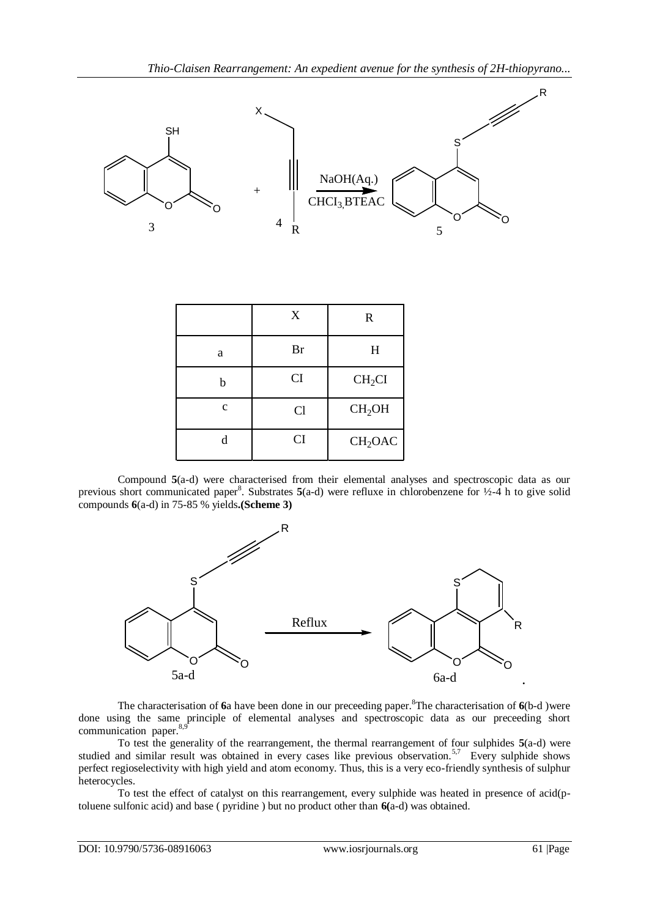

Compound **5**(a-d) were characterised from their elemental analyses and spectroscopic data as our previous short communicated paper<sup>8</sup>. Substrates **5**(a-d) were refluxe in chlorobenzene for ½-4 h to give solid compounds **6**(a-d) in 75-85 % yields**.(Scheme 3)**



The characterisation of **6**a have been done in our preceeding paper.<sup>8</sup>The characterisation of **6**(b-d )were done using the same principle of elemental analyses and spectroscopic data as our preceeding short communication paper.<sup>8</sup>

To test the generality of the rearrangement, the thermal rearrangement of four sulphides **5**(a-d) were studied and similar result was obtained in every cases like previous observation.<sup>5,7</sup> Every sulphide shows perfect regioselectivity with high yield and atom economy. Thus, this is a very eco-friendly synthesis of sulphur heterocycles.

To test the effect of catalyst on this rearrangement, every sulphide was heated in presence of acid(ptoluene sulfonic acid) and base ( pyridine ) but no product other than **6(**a-d) was obtained.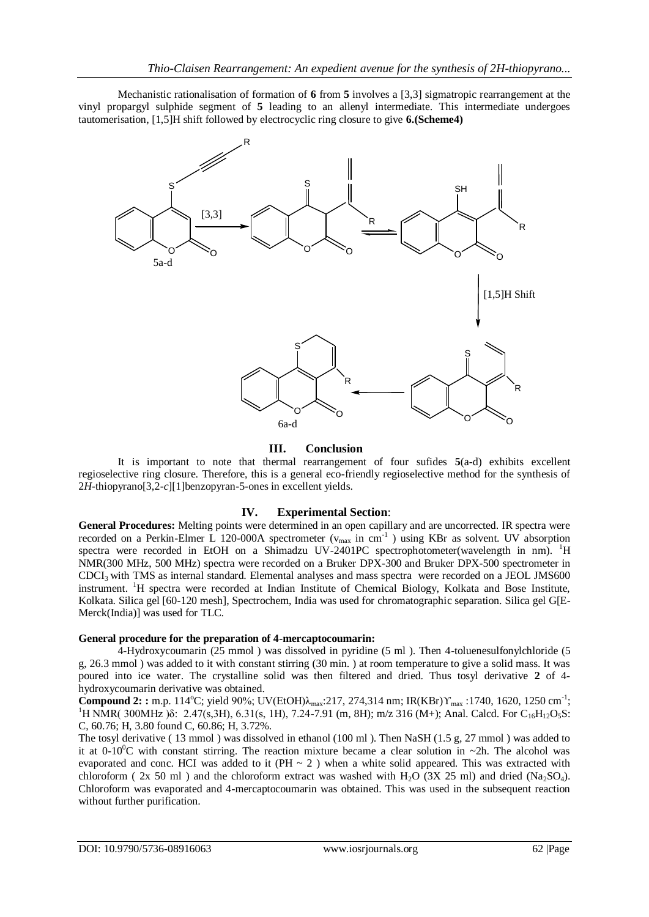Mechanistic rationalisation of formation of **6** from **5** involves a [3,3] sigmatropic rearrangement at the vinyl propargyl sulphide segment of **5** leading to an allenyl intermediate. This intermediate undergoes tautomerisation, [1,5]H shift followed by electrocyclic ring closure to give **6.(Scheme4)**



#### **III. Conclusion**

It is important to note that thermal rearrangement of four sufides **5**(a-d) exhibits excellent regioselective ring closure. Therefore, this is a general eco-friendly regioselective method for the synthesis of 2*H*-thiopyrano[3,2-*c*][1]benzopyran-5-ones in excellent yields.

#### **IV. Experimental Section**:

**General Procedures:** Melting points were determined in an open capillary and are uncorrected. IR spectra were recorded on a Perkin-Elmer L 120-000A spectrometer  $(v_{max}$  in cm<sup>-1</sup>) using KBr as solvent. UV absorption spectra were recorded in EtOH on a Shimadzu UV-2401PC spectrophotometer(wavelength in nm). <sup>1</sup>H NMR(300 MHz, 500 MHz) spectra were recorded on a Bruker DPX-300 and Bruker DPX-500 spectrometer in CDCI3 with TMS as internal standard. Elemental analyses and mass spectra were recorded on a JEOL JMS600 instrument. <sup>1</sup>H spectra were recorded at Indian Institute of Chemical Biology, Kolkata and Bose Institute, Kolkata. Silica gel [60-120 mesh], Spectrochem, India was used for chromatographic separation. Silica gel G[E-Merck(India)] was used for TLC.

#### **General procedure for the preparation of 4-mercaptocoumarin:**

4-Hydroxycoumarin (25 mmol ) was dissolved in pyridine (5 ml ). Then 4-toluenesulfonylchloride (5 g, 26.3 mmol ) was added to it with constant stirring (30 min. ) at room temperature to give a solid mass. It was poured into ice water. The crystalline solid was then filtered and dried. Thus tosyl derivative **2** of 4 hydroxycoumarin derivative was obtained.

**Compound 2: :** m.p. 114°C; yield 90%; UV(EtOH)λ<sub>max</sub>:217, 274,314 nm; IR(KBr)Υ<sub>max</sub> :1740, 1620, 1250 cm<sup>-1</sup>; <sup>1</sup>H NMR( 300MHz ) $\delta$ : 2.47(s,3H), 6.31(s, 1H), 7.24-7.91 (m, 8H); m/z 316 (M+); Anal. Calcd. For C<sub>16</sub>H<sub>12</sub>O<sub>5</sub>S: C, 60.76; H, 3.80 found C, 60.86; H, 3.72%.

The tosyl derivative ( 13 mmol ) was dissolved in ethanol (100 ml ). Then NaSH (1.5 g, 27 mmol ) was added to it at  $0\n-10^{\circ}\text{C}$  with constant stirring. The reaction mixture became a clear solution in ~2h. The alcohol was evaporated and conc. HCI was added to it (PH  $\sim$  2) when a white solid appeared. This was extracted with chloroform (  $2x$  50 ml) and the chloroform extract was washed with H<sub>2</sub>O ( $3X$  25 ml) and dried (Na<sub>2</sub>SO<sub>4</sub>). Chloroform was evaporated and 4-mercaptocoumarin was obtained. This was used in the subsequent reaction without further purification.